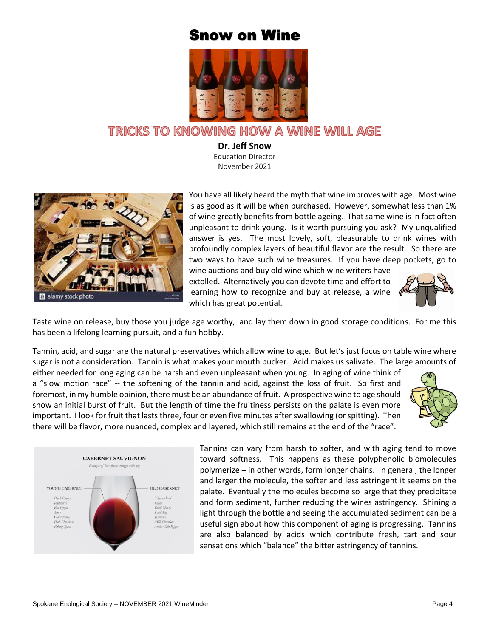## Snow on Wine



## TRICKS TO KNOWING HOW A WINE WILL AGE

Dr. Jeff Snow **Education Director** November 2021



You have all likely heard the myth that wine improves with age. Most wine is as good as it will be when purchased. However, somewhat less than 1% of wine greatly benefits from bottle ageing. That same wine is in fact often unpleasant to drink young. Is it worth pursuing you ask? My unqualified answer is yes. The most lovely, soft, pleasurable to drink wines with profoundly complex layers of beautiful flavor are the result. So there are two ways to have such wine treasures. If you have deep pockets, go to

wine auctions and buy old wine which wine writers have extolled. Alternatively you can devote time and effort to learning how to recognize and buy at release, a wine which has great potential.



Taste wine on release, buy those you judge age worthy, and lay them down in good storage conditions. For me this has been a lifelong learning pursuit, and a fun hobby.

Tannin, acid, and sugar are the natural preservatives which allow wine to age. But let's just focus on table wine where sugar is not a consideration. Tannin is what makes your mouth pucker. Acid makes us salivate. The large amounts of

either needed for long aging can be harsh and even unpleasant when young. In aging of wine think of a "slow motion race" -- the softening of the tannin and acid, against the loss of fruit. So first and foremost, in my humble opinion, there must be an abundance of fruit. A prospective wine to age should show an initial burst of fruit. But the length of time the fruitiness persists on the palate is even more important. I look for fruit that lasts three, four or even five minutes after swallowing (or spitting). Then there will be flavor, more nuanced, complex and layered, which still remains at the end of the "race".





Tannins can vary from harsh to softer, and with aging tend to move toward softness. This happens as these polyphenolic biomolecules polymerize – in other words, form longer chains. In general, the longer and larger the molecule, the softer and less astringent it seems on the palate. Eventually the molecules become so large that they precipitate and form sediment, further reducing the wines astringency. Shining a light through the bottle and seeing the accumulated sediment can be a useful sign about how this component of aging is progressing. Tannins are also balanced by acids which contribute fresh, tart and sour sensations which "balance" the bitter astringency of tannins.